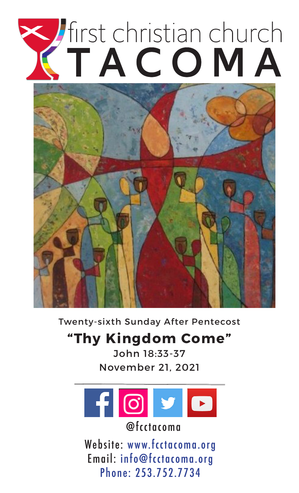# Tirst christian church



Twenty-sixth Sunday After Pentecost

# **"Thy Kingdom Come"**

John 18:33-37 November 21, 2021



@fcctacoma

Website: www.fcctacoma.org Email: info@fcctacoma.org Phone: 253.752.7734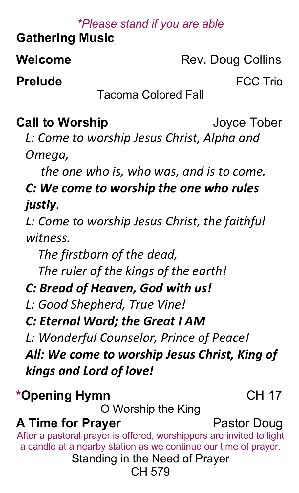## *\*Please stand if you are able*

**Gathering Music** 

**Welcome** Rev. Doug Collins

**Prelude FCC Trio** 

Tacoma Colored Fall

# **Call to Worship** Joyce Tober

*L: Come to worship Jesus Christ, Alpha and Omega,*

 *the one who is, who was, and is to come.*

# *C: We come to worship the one who rules justly.*

*L: Come to worship Jesus Christ, the faithful witness.*

 *The firstborn of the dead,*

 *The ruler of the kings of the earth!*

# *C: Bread of Heaven, God with us!*

*L: Good Shepherd, True Vine!*

*C: Eternal Word; the Great I AM*

*L: Wonderful Counselor, Prince of Peace!*

*All: We come to worship Jesus Christ, King of kings and Lord of love!*

# **\*Opening Hymn** CH 17

*.*

O Worship the King

# **A Time for Prayer** Pastor Doug

After a pastoral prayer is offered, worshippers are invited to light a candle at a nearby station as we continue our time of prayer.

Standing in the Need of Prayer

#### CH 579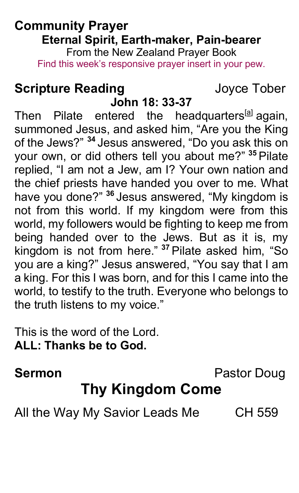#### **Community Prayer Eternal Spirit, Earth-maker, Pain-bearer** From the New Zealand Prayer Book

Find this week's responsive prayer insert in your pew.

# **Scripture Reading by Scripture Reading and Scripture Reading**

**John 18: 33-37** Then Pilate entered the headquarters<sup>[a]</sup> again, summoned Jesus, and asked him, "Are you the King of the Jews?" <sup>34</sup> Jesus answered, "Do you ask this on your own, or did others tell you about me?" <sup>35</sup> Pilate replied, "I am not a Jew, am I? Your own nation and the chief priests have handed you over to me. What have you done?" <sup>36</sup> Jesus answered, "My kingdom is not from this world. If my kingdom were from this world, my followers would be fighting to keep me from being handed over to the Jews. But as it is, my kingdom is not from here." <sup>37</sup> Pilate asked him, "So you are a king?" Jesus answered, "You say that I am a king. For this I was born, and for this I came into the world, to testify to the truth. Everyone who belongs to the truth listens to my voice."

This is the word of the Lord. **ALL: Thanks be to God.**

**Sermon** Pastor Doug

# **Thy Kingdom Come**

All the Way My Savior Leads Me CH 559